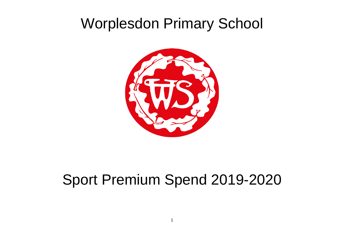## Worplesdon Primary School



## Sport Premium Spend 2019-2020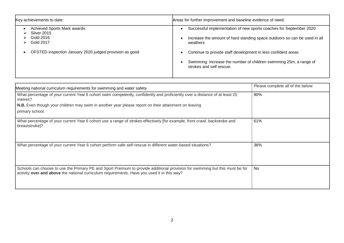| Key achievements to date:                                                                                                             | Areas for further improvement and baseline evidence of need:                                                                                                                                                                 |
|---------------------------------------------------------------------------------------------------------------------------------------|------------------------------------------------------------------------------------------------------------------------------------------------------------------------------------------------------------------------------|
| Achieved Sports Mark awards:<br>Silver 2015<br>Gold 2016<br>Gold 2017<br>⋗<br>OFSTED inspection January 2020 judged provision as good | Successful implementation of new sports coaches for September 2020<br>Increase the amount of hard standing space outdoors so can be used in all<br>weathers<br>Continue to provide staff development in less confident areas |
|                                                                                                                                       | Swimming: increase the number of children swimming 25m, a range of<br>strokes and self rescue.                                                                                                                               |

| Meeting national curriculum requirements for swimming and water safety                                                                                                                                                      | Please complete all of the below: |  |
|-----------------------------------------------------------------------------------------------------------------------------------------------------------------------------------------------------------------------------|-----------------------------------|--|
| What percentage of your current Year 6 cohort swim competently, confidently and proficiently over a distance of at least 25<br>metres?                                                                                      | 90%                               |  |
| <b>N.B.</b> Even though your children may swim in another year please report on their attainment on leaving                                                                                                                 |                                   |  |
| primary school.                                                                                                                                                                                                             |                                   |  |
| What percentage of your current Year 6 cohort use a range of strokes effectively [for example, front crawl, backstroke and<br>breaststroke]?                                                                                | 61%                               |  |
| What percentage of your current Year 6 cohort perform safe self-rescue in different water-based situations?                                                                                                                 | 36%                               |  |
| Schools can choose to use the Primary PE and Sport Premium to provide additional provision for swimming but this must be for<br>activity over and above the national curriculum requirements. Have you used it in this way? | <b>No</b>                         |  |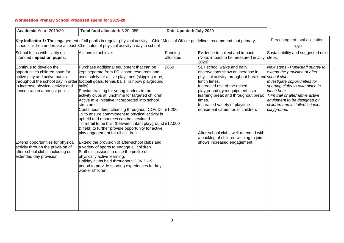## **Worplesdon Primary School Proposed spend for 2019-20**

| Academic Year: 2019/20                                                                                                                                                                                                                                                                                      | Total fund allocated: £20, 055                                                                                                                                                                                                                                                                                                                                                                                                                                                                                                                                                                                                                                                                                                                                                                                                                                                                                                                                                                                            | Date Updated: July 2020 |                                                                                                                                                                                                                                                                                                                                                                                                                                                 |                                                                                                                                                                                                                                                                              |
|-------------------------------------------------------------------------------------------------------------------------------------------------------------------------------------------------------------------------------------------------------------------------------------------------------------|---------------------------------------------------------------------------------------------------------------------------------------------------------------------------------------------------------------------------------------------------------------------------------------------------------------------------------------------------------------------------------------------------------------------------------------------------------------------------------------------------------------------------------------------------------------------------------------------------------------------------------------------------------------------------------------------------------------------------------------------------------------------------------------------------------------------------------------------------------------------------------------------------------------------------------------------------------------------------------------------------------------------------|-------------------------|-------------------------------------------------------------------------------------------------------------------------------------------------------------------------------------------------------------------------------------------------------------------------------------------------------------------------------------------------------------------------------------------------------------------------------------------------|------------------------------------------------------------------------------------------------------------------------------------------------------------------------------------------------------------------------------------------------------------------------------|
| Key indicator 1: The engagement of all pupils in regular physical activity – Chief Medical Officer guidelines recommend that primary<br>school children undertake at least 30 minutes of physical activity a day in school                                                                                  | Percentage of total allocation:<br>70%                                                                                                                                                                                                                                                                                                                                                                                                                                                                                                                                                                                                                                                                                                                                                                                                                                                                                                                                                                                    |                         |                                                                                                                                                                                                                                                                                                                                                                                                                                                 |                                                                                                                                                                                                                                                                              |
| School focus with clarity on<br>intended impact on pupils:                                                                                                                                                                                                                                                  | Actions to achieve:                                                                                                                                                                                                                                                                                                                                                                                                                                                                                                                                                                                                                                                                                                                                                                                                                                                                                                                                                                                                       | Funding<br>allocated:   | Evidence to collect and impact:<br>(Note: impact to be measured in July steps:<br>2020)                                                                                                                                                                                                                                                                                                                                                         | Sustainability and suggested next                                                                                                                                                                                                                                            |
| Continue to develop the<br>opportunities children have for<br>active play and active bursts<br>to increase physical activity and<br>concentration amongst pupils.<br>Extend opportunities for physical<br>activity through the provision of<br>after-school clubs, including our<br>extended day provision. | Purchase additional equipment that can be<br>kept separate from PE lesson resources and<br>used solely for active playtimes (skipping rope,<br>throughout the school day in order football goals, tennis balls, rainbow playground<br>balls).<br>Provide training for young leaders to run<br>activity clubs at lunchtime for targeted children.<br>Active mile initiative incorporated into school<br>structure.<br>Continuous deep cleaning throughout COVID- £1,200<br>19 to ensure commitment to physical activity is<br>upheld and resources can be circulated.<br>Trim-trail to be built (between infant playground £12,000<br>& field) to further provide opportunity for active<br>play engagement for all children.<br>Extend the provision of after-school clubs and<br>a variety of sports to engage all children.<br>Staff discussions to raise the profile of<br>physically active learning.<br>Holiday clubs held throughout COVID-19<br>period to provide sporting experiences for key<br>worker children. | £850                    | SLT school walks and daily<br>observations show an increase in<br>physical activity throughout break and school clubs.<br>lunch times.<br>Increased use of the raised<br>playground gym equipment as a<br>learning break and throughout break<br>times.<br>Increased variety of playtime<br>equipment caters for all children.<br>After-school clubs well-attended with<br>a backlog of children wishing to join<br>shows increased engagement. | Next steps - Pupil/staff survey to<br>extend the provision of after<br>Investigate opportunities for<br>sporting clubs to take place in<br>lunch hour.<br>Trim trail or alternative active<br>equipment to be designed by<br>children and installed in junior<br>playground. |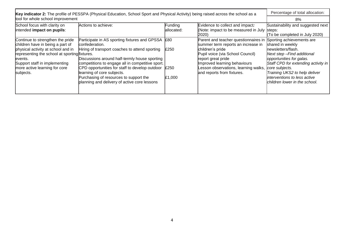| Key indicator 2: The profile of PESSPA (Physical Education, School Sport and Physical Activity) being raised across the school as a                                                                                                                    |                                                                                                                                                                                                                                                                                                                                                                                                               |                        |                                                                                                                                                                                                                                                                | Percentage of total allocation:                                                                                                                                                                                                                                                         |
|--------------------------------------------------------------------------------------------------------------------------------------------------------------------------------------------------------------------------------------------------------|---------------------------------------------------------------------------------------------------------------------------------------------------------------------------------------------------------------------------------------------------------------------------------------------------------------------------------------------------------------------------------------------------------------|------------------------|----------------------------------------------------------------------------------------------------------------------------------------------------------------------------------------------------------------------------------------------------------------|-----------------------------------------------------------------------------------------------------------------------------------------------------------------------------------------------------------------------------------------------------------------------------------------|
| tool for whole school improvement                                                                                                                                                                                                                      |                                                                                                                                                                                                                                                                                                                                                                                                               |                        |                                                                                                                                                                                                                                                                | 8%                                                                                                                                                                                                                                                                                      |
| School focus with clarity on<br>intended impact on pupils:                                                                                                                                                                                             | Actions to achieve:                                                                                                                                                                                                                                                                                                                                                                                           | Funding<br>lallocated: | Evidence to collect and impact:<br>(Note: impact to be measured in July steps:<br>2020                                                                                                                                                                         | Sustainability and suggested next<br>(To be completed in July 2020)                                                                                                                                                                                                                     |
| Continue to strengthen the pride<br>children have in being a part of<br>physical activity at school and in<br>representing the school at sporting fixtures.<br>levents.<br>Support staff in implementing<br>more active learning for core<br>subjects. | Participate in AS sporting fixtures and GPSSA<br>confederation.<br>Hiring of transport coaches to attend sporting<br>Discussions around half-termly house sporting<br>competitions to engage all in competitive sport.<br>CPD opportunities for staff to develop outdoor $\vert$ £250<br>learning of core subjects.<br>Purchasing of resources to support the<br>planning and delivery of active core lessons | £80<br>£250<br>£1,000  | Parent and teacher questionnaires in<br>summer term reports an increase in<br>children's pride<br>Pupil voice (via School Council)<br>report great pride<br>Improved learning behaviours<br>Lesson observations, learning walks,<br>and reports from fixtures. | Sporting achievements are<br>shared in weekly<br>newsletters/flash.<br>Next step-Find additional<br>opportunities for galas.<br>Staff CPD for extending activity in<br>core subjects.<br>Training UKS2 to help deliver<br>interventions to less active<br>children lower in the school. |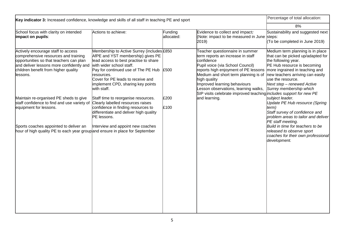| Key indicator 3: Increased confidence, knowledge and skills of all staff in teaching PE and sport                                                                                                                                         | Percentage of total allocation:                                                                                                                                                                                                                                                                         |                                                                                                                                                                                                                                                                                                |                                                                                                                                                                                                                                                                                                                                                              |                                                                                                                                                                                                                                                                                        |
|-------------------------------------------------------------------------------------------------------------------------------------------------------------------------------------------------------------------------------------------|---------------------------------------------------------------------------------------------------------------------------------------------------------------------------------------------------------------------------------------------------------------------------------------------------------|------------------------------------------------------------------------------------------------------------------------------------------------------------------------------------------------------------------------------------------------------------------------------------------------|--------------------------------------------------------------------------------------------------------------------------------------------------------------------------------------------------------------------------------------------------------------------------------------------------------------------------------------------------------------|----------------------------------------------------------------------------------------------------------------------------------------------------------------------------------------------------------------------------------------------------------------------------------------|
|                                                                                                                                                                                                                                           |                                                                                                                                                                                                                                                                                                         |                                                                                                                                                                                                                                                                                                |                                                                                                                                                                                                                                                                                                                                                              | 8%                                                                                                                                                                                                                                                                                     |
| School focus with clarity on intended<br>impact on pupils:                                                                                                                                                                                | Actions to achieve:                                                                                                                                                                                                                                                                                     | Funding<br>allocated:                                                                                                                                                                                                                                                                          | Evidence to collect and impact:<br>(Note: impact to be measured in June steps:<br>2019)                                                                                                                                                                                                                                                                      | Sustainability and suggested next<br>(To be completed in June 2019)                                                                                                                                                                                                                    |
| Actively encourage staff to access<br>comprehensive resources and training<br>opportunities so that teachers can plan<br>and deliver lessons more confidently and<br>children benefit from higher quality<br>llessons.                    | Membership to Active Surrey (includes £850<br>AfPE and YST membership) gives PE<br>lead access to best practise to share<br>with wider school staff.<br>Pay for continued use of The PE Hub E500<br>resources.<br>Cover for PE leads to receive and<br>implement CPD, sharing key points<br>with staff. | Teacher questionnaire in summer<br>term reports an increase in staff<br>confidence<br>Pupil voice (via School Council)<br>reports high enjoyment of PE lessons<br>Medium and short term planning is of<br>high quality<br>Improved learning behaviours<br>Lesson observations, learning walks, | Medium term planning is in place<br>that can be picked up/adapted for<br>the following year.<br>PE Hub resource is becoming<br>more ingrained in teaching and<br>new teachers arriving can easily<br>use the resource.<br>Next step - renewed Active<br>Surrey membership which<br>SIP visits celebrate improved teaching <i>includes support for new PE</i> |                                                                                                                                                                                                                                                                                        |
| Maintain re-organised PE sheds to give<br>staff confidence to find and use variety of<br>equipment for lessons.<br>Sports coaches appointed to deliver an<br>hour of high quality PE to each year group and ensure in place for September | Staff time to reorganise resources.<br>Clearly labelled resources raises<br>confidence in finding resources to<br>differentiate and deliver high quality<br>PE lessons.<br>Interview and appoint new coaches                                                                                            | £200<br>£100                                                                                                                                                                                                                                                                                   | and learning.                                                                                                                                                                                                                                                                                                                                                | subject leader.<br><b>Update PE Hub resource (Spring</b><br>term)<br>Staff survey of confidence and<br>problem areas to tailor and deliver<br>PE staff meeting.<br>Build in time for teachers to be<br>released to observe sport<br>coaches for their own professional<br>development. |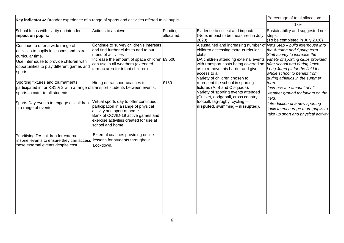| Key indicator 4: Broader experience of a range of sports and activities offered to all pupils                                                                                                                                |                                                                                                                                                                                                                                   |                       |                                                                                                                                                                                                                                                                                                     | Percentage of total allocation:                                                                                                                                                                                                         |
|------------------------------------------------------------------------------------------------------------------------------------------------------------------------------------------------------------------------------|-----------------------------------------------------------------------------------------------------------------------------------------------------------------------------------------------------------------------------------|-----------------------|-----------------------------------------------------------------------------------------------------------------------------------------------------------------------------------------------------------------------------------------------------------------------------------------------------|-----------------------------------------------------------------------------------------------------------------------------------------------------------------------------------------------------------------------------------------|
|                                                                                                                                                                                                                              | 18%                                                                                                                                                                                                                               |                       |                                                                                                                                                                                                                                                                                                     |                                                                                                                                                                                                                                         |
| School focus with clarity on intended<br>impact on pupils:                                                                                                                                                                   | Actions to achieve:                                                                                                                                                                                                               | Funding<br>allocated: | Evidence to collect and impact:<br>(Note: impact to be measured in July<br>2020)                                                                                                                                                                                                                    | Sustainability and suggested next<br>steps:<br>(To be completed in July 2020)                                                                                                                                                           |
| Continue to offer a wide range of<br>activities to pupils in lessons and extra<br>curricular time.<br>Use Interhouse to provide children with<br>opportunities to play different games and<br>sports.                        | Continue to survey children's interests<br>and find further clubs to add to our<br>menu of activities<br>Increase the amount of space children $£3,500$<br>can use in all weathers (extended<br>tarmac area for infant children). |                       | A sustained and increasing number of<br>children accessing extra-curricular<br>clubs.<br>DA children attending external events variety of sporting clubs provided<br>with transport costs being covered so<br>as to remove this barrier and give<br>access to all.<br>Variety of children chosen to | Next Step - build interhouse into<br>the Autumn and Spring term.<br>Staff survey to increase the<br>after school and during lunch.<br>Long Jump pit for the field for<br>whole school to benefit from<br>during athletics in the summer |
| Sporting fixtures and tournaments<br>participated in for KS1 & 2 with a range of transport students between events.<br>sports to cater to all students.<br>Sports Day events to engage all children<br>in a range of events. | Hiring of transport coaches to<br>Virtual sports day to offer continued<br>participation in a range of physical<br>activity and sport at home.<br>Bank of COVID-19 active games and<br>exercise activities created for use at     | £180                  | represent the school in sporting<br>fixtures (A, B and C squads).<br>Variety of sporting events attended<br>(Cricket, dodgeball, cross country,<br>football, tag-rugby, cycling -<br>disputed, swimming - disrupted).                                                                               | term.<br>Increase the amount of all<br>weather ground for juniors on the<br>field.<br>Introduction of a new sporting<br>topic to encourage more pupils to<br>take up sport and physical activity                                        |
| Prioritising DA children for external<br>inspire' events to ensure they can access<br>these external events despite cost.                                                                                                    | school and home.<br>External coaches providing online<br>lessons for students throughout<br>Lockdown.                                                                                                                             |                       |                                                                                                                                                                                                                                                                                                     |                                                                                                                                                                                                                                         |
|                                                                                                                                                                                                                              |                                                                                                                                                                                                                                   |                       |                                                                                                                                                                                                                                                                                                     |                                                                                                                                                                                                                                         |